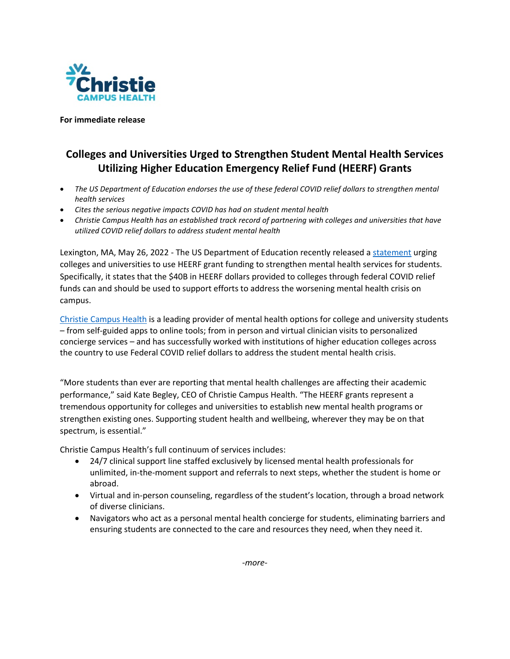

**For immediate release**

## **Colleges and Universities Urged to Strengthen Student Mental Health Services Utilizing Higher Education Emergency Relief Fund (HEERF) Grants**

- *The US Department of Education endorses the use of these federal COVID relief dollars to strengthen mental health services*
- *Cites the serious negative impacts COVID has had on student mental health*
- *Christie Campus Health has an established track record of partnering with colleges and universities that have utilized COVID relief dollars to address student mental health*

Lexington, MA, May 26, 2022 - The US Department of Education recently released a [statement](https://content.govdelivery.com/accounts/USED/bulletins/3181c60) urging colleges and universities to use HEERF grant funding to strengthen mental health services for students. Specifically, it states that the \$40B in HEERF dollars provided to colleges through federal COVID relief funds can and should be used to support efforts to address the worsening mental health crisis on campus.

[Christie Campus Health](http://www.christiecampus.com/) is a leading provider of mental health options for college and university students – from self-guided apps to online tools; from in person and virtual clinician visits to personalized concierge services – and has successfully worked with institutions of higher education colleges across the country to use Federal COVID relief dollars to address the student mental health crisis.

"More students than ever are reporting that mental health challenges are affecting their academic performance," said Kate Begley, CEO of Christie Campus Health. "The HEERF grants represent a tremendous opportunity for colleges and universities to establish new mental health programs or strengthen existing ones. Supporting student health and wellbeing, wherever they may be on that spectrum, is essential."

Christie Campus Health's full continuum of services includes:

- 24/7 clinical support line staffed exclusively by licensed mental health professionals for unlimited, in-the-moment support and referrals to next steps, whether the student is home or abroad.
- Virtual and in-person counseling, regardless of the student's location, through a broad network of diverse clinicians.
- Navigators who act as a personal mental health concierge for students, eliminating barriers and ensuring students are connected to the care and resources they need, when they need it.